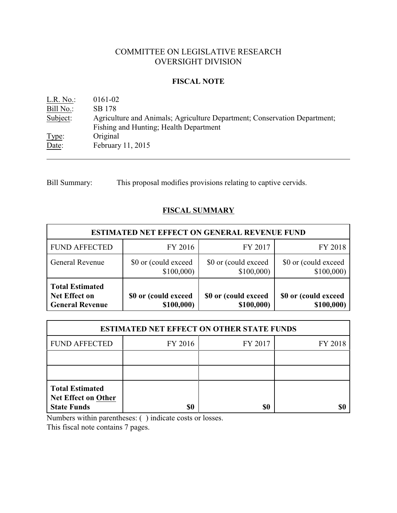# COMMITTEE ON LEGISLATIVE RESEARCH OVERSIGHT DIVISION

#### **FISCAL NOTE**

| L.R. No.  | 0161-02                                                                                                             |
|-----------|---------------------------------------------------------------------------------------------------------------------|
| Bill No.: | SB 178                                                                                                              |
| Subject:  | Agriculture and Animals; Agriculture Department; Conservation Department;<br>Fishing and Hunting; Health Department |
| Type:     | Original                                                                                                            |
| Date:     | February 11, 2015                                                                                                   |

Bill Summary: This proposal modifies provisions relating to captive cervids.

## **FISCAL SUMMARY**

| <b>ESTIMATED NET EFFECT ON GENERAL REVENUE FUND</b>                      |                                    |                                    |                                    |  |  |
|--------------------------------------------------------------------------|------------------------------------|------------------------------------|------------------------------------|--|--|
| <b>FUND AFFECTED</b>                                                     | FY 2016                            | FY 2017                            | FY 2018                            |  |  |
| <b>General Revenue</b>                                                   | \$0 or (could exceed<br>\$100,000  | \$0 or (could exceed<br>\$100,000  | \$0 or (could exceed<br>\$100,000  |  |  |
| <b>Total Estimated</b><br><b>Net Effect on</b><br><b>General Revenue</b> | \$0 or (could exceed<br>\$100,000) | \$0 or (could exceed<br>\$100,000) | \$0 or (could exceed<br>\$100,000) |  |  |

| <b>ESTIMATED NET EFFECT ON OTHER STATE FUNDS</b>                           |         |         |         |  |  |  |
|----------------------------------------------------------------------------|---------|---------|---------|--|--|--|
| <b>FUND AFFECTED</b>                                                       | FY 2016 | FY 2017 | FY 2018 |  |  |  |
|                                                                            |         |         |         |  |  |  |
|                                                                            |         |         |         |  |  |  |
| <b>Total Estimated</b><br><b>Net Effect on Other</b><br><b>State Funds</b> | \$0     | \$0     |         |  |  |  |

Numbers within parentheses: ( ) indicate costs or losses.

This fiscal note contains 7 pages.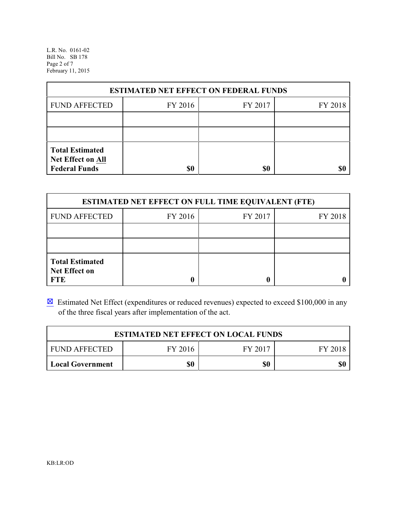L.R. No. 0161-02 Bill No. SB 178 Page 2 of 7 February 11, 2015

| <b>ESTIMATED NET EFFECT ON FEDERAL FUNDS</b>                        |         |         |         |  |  |
|---------------------------------------------------------------------|---------|---------|---------|--|--|
| <b>FUND AFFECTED</b>                                                | FY 2016 | FY 2017 | FY 2018 |  |  |
|                                                                     |         |         |         |  |  |
|                                                                     |         |         |         |  |  |
| <b>Total Estimated</b><br>Net Effect on All<br><b>Federal Funds</b> | \$0     | \$0     |         |  |  |

| <b>ESTIMATED NET EFFECT ON FULL TIME EQUIVALENT (FTE)</b>    |         |         |         |  |  |
|--------------------------------------------------------------|---------|---------|---------|--|--|
| <b>FUND AFFECTED</b>                                         | FY 2016 | FY 2017 | FY 2018 |  |  |
|                                                              |         |         |         |  |  |
|                                                              |         |         |         |  |  |
| <b>Total Estimated</b><br><b>Net Effect on</b><br><b>FTE</b> |         |         |         |  |  |

 $\boxtimes$  Estimated Net Effect (expenditures or reduced revenues) expected to exceed \$100,000 in any of the three fiscal years after implementation of the act.

| <b>ESTIMATED NET EFFECT ON LOCAL FUNDS</b>            |  |  |  |  |  |
|-------------------------------------------------------|--|--|--|--|--|
| FY 2016<br>FY 2017<br><b>FUND AFFECTED</b><br>FY 2018 |  |  |  |  |  |
| \$0<br>\$0<br><b>Local Government</b>                 |  |  |  |  |  |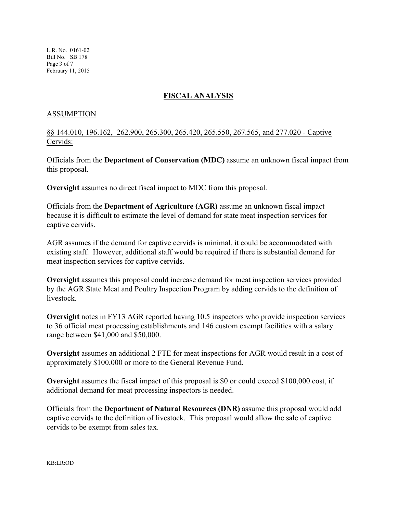L.R. No. 0161-02 Bill No. SB 178 Page 3 of 7 February 11, 2015

## **FISCAL ANALYSIS**

#### ASSUMPTION

§§ 144.010, 196.162, 262.900, 265.300, 265.420, 265.550, 267.565, and 277.020 - Captive Cervids:

Officials from the **Department of Conservation (MDC)** assume an unknown fiscal impact from this proposal.

**Oversight** assumes no direct fiscal impact to MDC from this proposal.

Officials from the **Department of Agriculture (AGR)** assume an unknown fiscal impact because it is difficult to estimate the level of demand for state meat inspection services for captive cervids.

AGR assumes if the demand for captive cervids is minimal, it could be accommodated with existing staff. However, additional staff would be required if there is substantial demand for meat inspection services for captive cervids.

**Oversight** assumes this proposal could increase demand for meat inspection services provided by the AGR State Meat and Poultry Inspection Program by adding cervids to the definition of livestock.

**Oversight** notes in FY13 AGR reported having 10.5 inspectors who provide inspection services to 36 official meat processing establishments and 146 custom exempt facilities with a salary range between \$41,000 and \$50,000.

**Oversight** assumes an additional 2 FTE for meat inspections for AGR would result in a cost of approximately \$100,000 or more to the General Revenue Fund.

**Oversight** assumes the fiscal impact of this proposal is \$0 or could exceed \$100,000 cost, if additional demand for meat processing inspectors is needed.

Officials from the **Department of Natural Resources (DNR)** assume this proposal would add captive cervids to the definition of livestock. This proposal would allow the sale of captive cervids to be exempt from sales tax.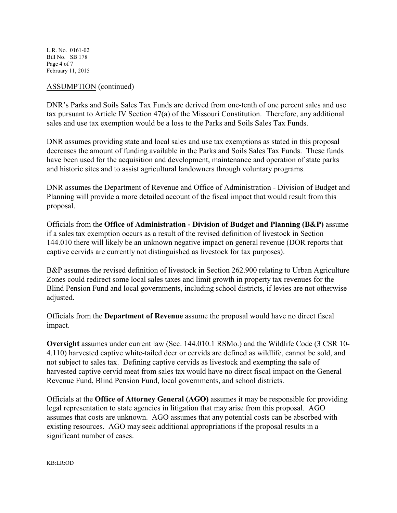L.R. No. 0161-02 Bill No. SB 178 Page 4 of 7 February 11, 2015

#### ASSUMPTION (continued)

DNR's Parks and Soils Sales Tax Funds are derived from one-tenth of one percent sales and use tax pursuant to Article IV Section 47(a) of the Missouri Constitution. Therefore, any additional sales and use tax exemption would be a loss to the Parks and Soils Sales Tax Funds.

DNR assumes providing state and local sales and use tax exemptions as stated in this proposal decreases the amount of funding available in the Parks and Soils Sales Tax Funds. These funds have been used for the acquisition and development, maintenance and operation of state parks and historic sites and to assist agricultural landowners through voluntary programs.

DNR assumes the Department of Revenue and Office of Administration - Division of Budget and Planning will provide a more detailed account of the fiscal impact that would result from this proposal.

Officials from the **Office of Administration - Division of Budget and Planning (B&P)** assume if a sales tax exemption occurs as a result of the revised definition of livestock in Section 144.010 there will likely be an unknown negative impact on general revenue (DOR reports that captive cervids are currently not distinguished as livestock for tax purposes).

B&P assumes the revised definition of livestock in Section 262.900 relating to Urban Agriculture Zones could redirect some local sales taxes and limit growth in property tax revenues for the Blind Pension Fund and local governments, including school districts, if levies are not otherwise adjusted.

Officials from the **Department of Revenue** assume the proposal would have no direct fiscal impact.

**Oversight** assumes under current law (Sec. 144.010.1 RSMo.) and the Wildlife Code (3 CSR 10- 4.110) harvested captive white-tailed deer or cervids are defined as wildlife, cannot be sold, and not subject to sales tax. Defining captive cervids as livestock and exempting the sale of harvested captive cervid meat from sales tax would have no direct fiscal impact on the General Revenue Fund, Blind Pension Fund, local governments, and school districts.

Officials at the **Office of Attorney General (AGO)** assumes it may be responsible for providing legal representation to state agencies in litigation that may arise from this proposal. AGO assumes that costs are unknown. AGO assumes that any potential costs can be absorbed with existing resources. AGO may seek additional appropriations if the proposal results in a significant number of cases.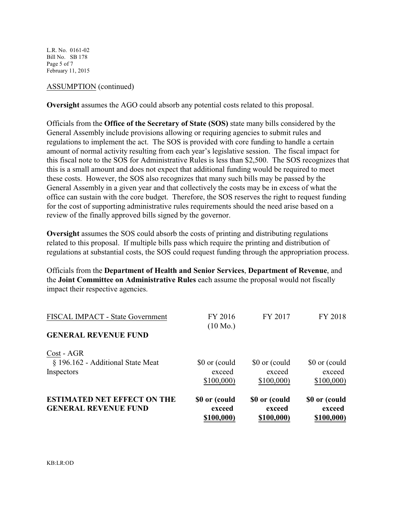L.R. No. 0161-02 Bill No. SB 178 Page 5 of 7 February 11, 2015

#### ASSUMPTION (continued)

**Oversight** assumes the AGO could absorb any potential costs related to this proposal.

Officials from the **Office of the Secretary of State (SOS)** state many bills considered by the General Assembly include provisions allowing or requiring agencies to submit rules and regulations to implement the act. The SOS is provided with core funding to handle a certain amount of normal activity resulting from each year's legislative session. The fiscal impact for this fiscal note to the SOS for Administrative Rules is less than \$2,500. The SOS recognizes that this is a small amount and does not expect that additional funding would be required to meet these costs. However, the SOS also recognizes that many such bills may be passed by the General Assembly in a given year and that collectively the costs may be in excess of what the office can sustain with the core budget. Therefore, the SOS reserves the right to request funding for the cost of supporting administrative rules requirements should the need arise based on a review of the finally approved bills signed by the governor.

**Oversight** assumes the SOS could absorb the costs of printing and distributing regulations related to this proposal. If multiple bills pass which require the printing and distribution of regulations at substantial costs, the SOS could request funding through the appropriation process.

Officials from the **Department of Health and Senior Services**, **Department of Revenue**, and the **Joint Committee on Administrative Rules** each assume the proposal would not fiscally impact their respective agencies.

| <b>ESTIMATED NET EFFECT ON THE</b><br><b>GENERAL REVENUE FUND</b> | \$0 or (could<br>exceed<br>\$100,000) | \$0 or (could<br>exceed<br>\$100,000) | \$0 or (could<br>exceed<br>\$100,000) |
|-------------------------------------------------------------------|---------------------------------------|---------------------------------------|---------------------------------------|
| Cost - AGR<br>§ 196.162 - Additional State Meat<br>Inspectors     | \$0 or (could<br>exceed<br>\$100,000  | \$0 or (could<br>exceed<br>\$100,000  | \$0 or (could<br>exceed<br>\$100,000  |
| FISCAL IMPACT - State Government<br><b>GENERAL REVENUE FUND</b>   | FY 2016<br>$(10 \text{ Mo.})$         | FY 2017                               | FY 2018                               |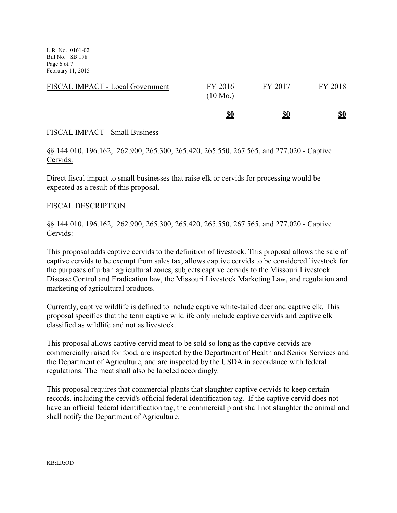L.R. No. 0161-02 Bill No. SB 178 Page 6 of 7 February 11, 2015

| FISCAL IMPACT - Local Government | FY 2016<br>$(10 \text{ Mo.})$<br><u>\$0</u> | FY 2017<br><u>\$0</u> | FY 2018<br><u>\$0</u> |
|----------------------------------|---------------------------------------------|-----------------------|-----------------------|
|                                  |                                             |                       |                       |

## FISCAL IMPACT - Small Business

## §§ 144.010, 196.162, 262.900, 265.300, 265.420, 265.550, 267.565, and 277.020 - Captive Cervids:

Direct fiscal impact to small businesses that raise elk or cervids for processing would be expected as a result of this proposal.

## FISCAL DESCRIPTION

## §§ 144.010, 196.162, 262.900, 265.300, 265.420, 265.550, 267.565, and 277.020 - Captive Cervids:

This proposal adds captive cervids to the definition of livestock. This proposal allows the sale of captive cervids to be exempt from sales tax, allows captive cervids to be considered livestock for the purposes of urban agricultural zones, subjects captive cervids to the Missouri Livestock Disease Control and Eradication law, the Missouri Livestock Marketing Law, and regulation and marketing of agricultural products.

Currently, captive wildlife is defined to include captive white-tailed deer and captive elk. This proposal specifies that the term captive wildlife only include captive cervids and captive elk classified as wildlife and not as livestock.

This proposal allows captive cervid meat to be sold so long as the captive cervids are commercially raised for food, are inspected by the Department of Health and Senior Services and the Department of Agriculture, and are inspected by the USDA in accordance with federal regulations. The meat shall also be labeled accordingly.

This proposal requires that commercial plants that slaughter captive cervids to keep certain records, including the cervid's official federal identification tag. If the captive cervid does not have an official federal identification tag, the commercial plant shall not slaughter the animal and shall notify the Department of Agriculture.